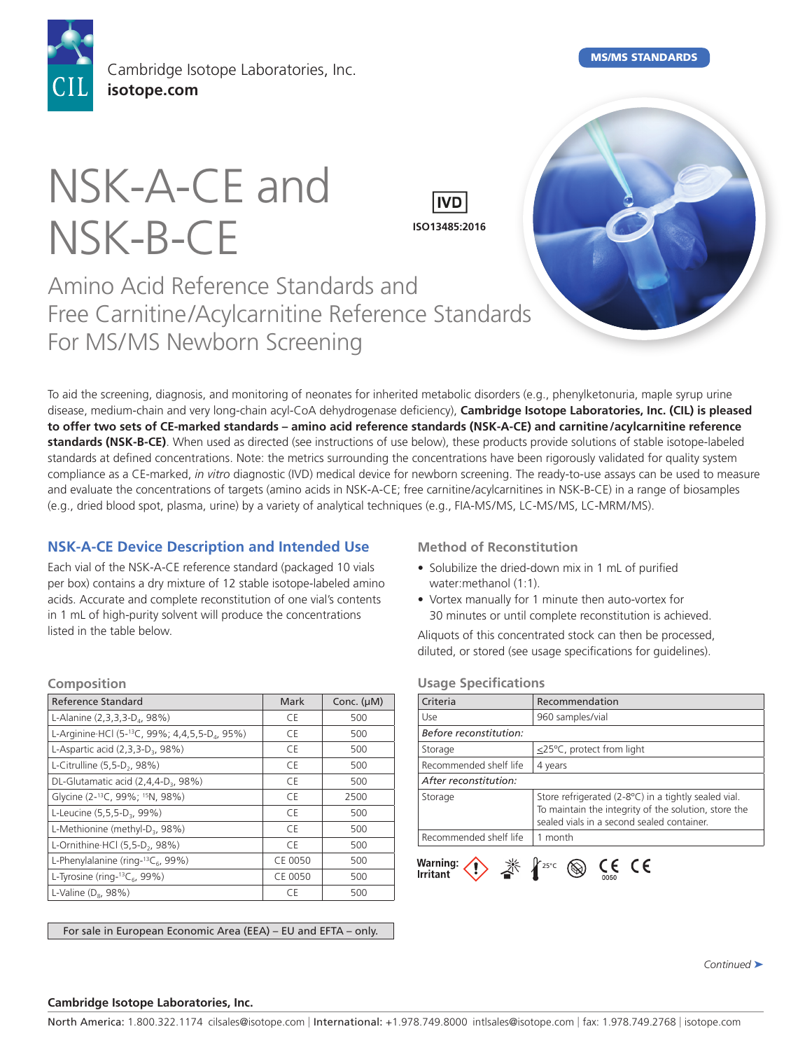

Cambridge Isotope Laboratories, Inc. **[isotope.com](http://www.isotope.com)**

MS/MS STANDARDS

# NSK-A-CE and NSK-B-CE



# Amino Acid Reference Standards and Free Carnitine/Acylcarnitine Reference Standards For MS/MS Newborn Screening

To aid the screening, diagnosis, and monitoring of neonates for inherited metabolic disorders (e.g., phenylketonuria, maple syrup urine disease, medium-chain and very long-chain acyl-CoA dehydrogenase deficiency), **Cambridge Isotope Laboratories, Inc. (CIL) is pleased to offer two sets of CE-marked standards – amino acid reference standards (NSK-A-CE) and carnitine/acylcarnitine reference standards (NSK-B-CE)**. When used as directed (see instructions of use below), these products provide solutions of stable isotope-labeled standards at defined concentrations. Note: the metrics surrounding the concentrations have been rigorously validated for quality system compliance as a CE-marked, *in vitro* diagnostic (IVD) medical device for newborn screening. The ready-to-use assays can be used to measure and evaluate the concentrations of targets (amino acids in NSK-A-CE; free carnitine/acylcarnitines in NSK-B-CE) in a range of biosamples (e.g., dried blood spot, plasma, urine) by a variety of analytical techniques (e.g., FIA-MS/MS, LC-MS/MS, LC-MRM/MS).

# **NSK-A-CE Device Description and Intended Use**

Each vial of the NSK-A-CE reference standard (packaged 10 vials per box) contains a dry mixture of 12 stable isotope-labeled amino acids. Accurate and complete reconstitution of one vial's contents in 1 mL of high-purity solvent will produce the concentrations listed in the table below.

# **Method of Reconstitution**

- Solubilize the dried-down mix in 1 mL of purified water:methanol (1:1).
- Vortex manually for 1 minute then auto-vortex for 30 minutes or until complete reconstitution is achieved.

Aliquots of this concentrated stock can then be processed, diluted, or stored (see usage specifications for guidelines).

| Mark    | Conc. $(\mu M)$ |
|---------|-----------------|
| C.E     | 500             |
| C.E     | 500             |
| C.E     | 500             |
| CE      | 500             |
| C.E     | 500             |
| CE      | 2500            |
| CE      | 500             |
| CE      | 500             |
| C.E     | 500             |
| CE 0050 | 500             |
| CE 0050 | 500             |
| CE      | 500             |
|         |                 |

For sale in European Economic Area (EEA) – EU and EFTA – only.

#### **Usage Specifications**

| Criteria               | Recommendation                                                                                                                                             |
|------------------------|------------------------------------------------------------------------------------------------------------------------------------------------------------|
| Use                    | 960 samples/vial                                                                                                                                           |
| Before reconstitution: |                                                                                                                                                            |
| Storage                | $\leq$ 25°C, protect from light                                                                                                                            |
| Recommended shelf life | 4 years                                                                                                                                                    |
| After reconstitution:  |                                                                                                                                                            |
| Storage                | Store refrigerated (2-8°C) in a tightly sealed vial.<br>To maintain the integrity of the solution, store the<br>sealed vials in a second sealed container. |
| Recommended shelf life | 1 month                                                                                                                                                    |
| Warning:<br>Irritant   | $\circledcirc$ CE CE<br>$25^{\circ}$ C                                                                                                                     |

*Continued* ➤

#### **Cambridge Isotope Laboratories, Inc.**